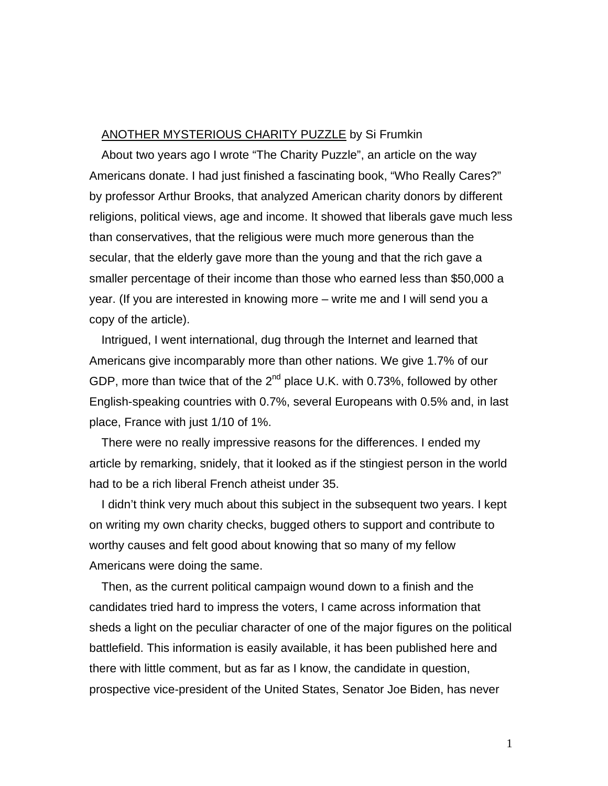## ANOTHER MYSTERIOUS CHARITY PUZZLE by Si Frumkin

About two years ago I wrote "The Charity Puzzle", an article on the way Americans donate. I had just finished a fascinating book, "Who Really Cares?" by professor Arthur Brooks, that analyzed American charity donors by different religions, political views, age and income. It showed that liberals gave much less than conservatives, that the religious were much more generous than the secular, that the elderly gave more than the young and that the rich gave a smaller percentage of their income than those who earned less than \$50,000 a year. (If you are interested in knowing more – write me and I will send you a copy of the article).

Intrigued, I went international, dug through the Internet and learned that Americans give incomparably more than other nations. We give 1.7% of our GDP, more than twice that of the  $2^{nd}$  place U.K. with 0.73%, followed by other English-speaking countries with 0.7%, several Europeans with 0.5% and, in last place, France with just 1/10 of 1%.

There were no really impressive reasons for the differences. I ended my article by remarking, snidely, that it looked as if the stingiest person in the world had to be a rich liberal French atheist under 35.

I didn't think very much about this subject in the subsequent two years. I kept on writing my own charity checks, bugged others to support and contribute to worthy causes and felt good about knowing that so many of my fellow Americans were doing the same.

Then, as the current political campaign wound down to a finish and the candidates tried hard to impress the voters, I came across information that sheds a light on the peculiar character of one of the major figures on the political battlefield. This information is easily available, it has been published here and there with little comment, but as far as I know, the candidate in question, prospective vice-president of the United States, Senator Joe Biden, has never

1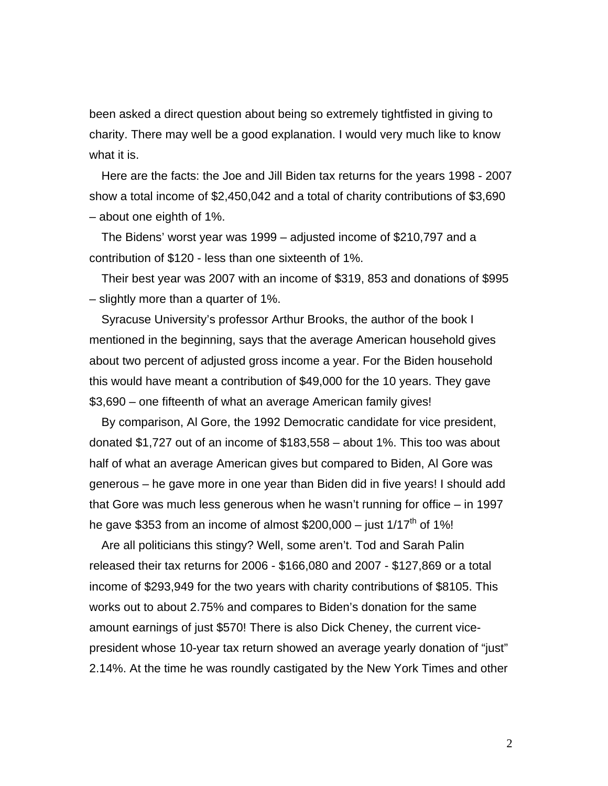been asked a direct question about being so extremely tightfisted in giving to charity. There may well be a good explanation. I would very much like to know what it is.

Here are the facts: the Joe and Jill Biden tax returns for the years 1998 - 2007 show a total income of \$2,450,042 and a total of charity contributions of \$3,690 – about one eighth of 1%.

The Bidens' worst year was 1999 – adjusted income of \$210,797 and a contribution of \$120 - less than one sixteenth of 1%.

Their best year was 2007 with an income of \$319, 853 and donations of \$995 – slightly more than a quarter of 1%.

Syracuse University's professor Arthur Brooks, the author of the book I mentioned in the beginning, says that the average American household gives about two percent of adjusted gross income a year. For the Biden household this would have meant a contribution of \$49,000 for the 10 years. They gave \$3,690 – one fifteenth of what an average American family gives!

By comparison, Al Gore, the 1992 Democratic candidate for vice president, donated \$1,727 out of an income of \$183,558 – about 1%. This too was about half of what an average American gives but compared to Biden, Al Gore was generous – he gave more in one year than Biden did in five years! I should add that Gore was much less generous when he wasn't running for office – in 1997 he gave \$353 from an income of almost \$200,000 – just  $1/17<sup>th</sup>$  of 1%!

Are all politicians this stingy? Well, some aren't. Tod and Sarah Palin released their tax returns for 2006 - \$166,080 and 2007 - \$127,869 or a total income of \$293,949 for the two years with charity contributions of \$8105. This works out to about 2.75% and compares to Biden's donation for the same amount earnings of just \$570! There is also Dick Cheney, the current vicepresident whose 10-year tax return showed an average yearly donation of "just" 2.14%. At the time he was roundly castigated by the New York Times and other